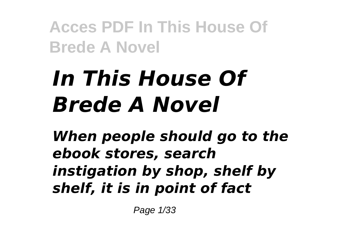# *In This House Of Brede A Novel*

*When people should go to the ebook stores, search instigation by shop, shelf by shelf, it is in point of fact*

Page 1/33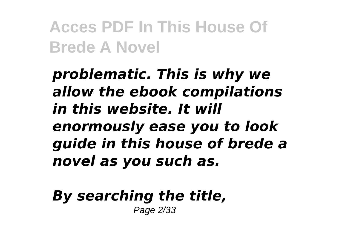*problematic. This is why we allow the ebook compilations in this website. It will enormously ease you to look guide in this house of brede a novel as you such as.*

*By searching the title,* Page 2/33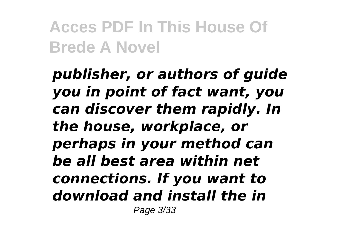*publisher, or authors of guide you in point of fact want, you can discover them rapidly. In the house, workplace, or perhaps in your method can be all best area within net connections. If you want to download and install the in* Page 3/33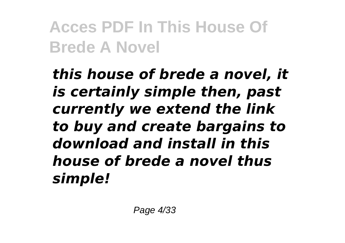*this house of brede a novel, it is certainly simple then, past currently we extend the link to buy and create bargains to download and install in this house of brede a novel thus simple!*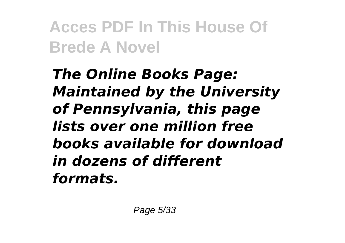*The Online Books Page: Maintained by the University of Pennsylvania, this page lists over one million free books available for download in dozens of different formats.*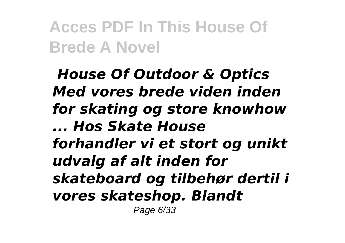*House Of Outdoor & Optics Med vores brede viden inden for skating og store knowhow ... Hos Skate House forhandler vi et stort og unikt udvalg af alt inden for skateboard og tilbehør dertil i vores skateshop. Blandt* Page 6/33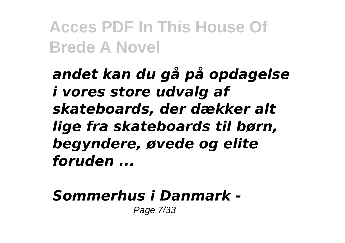*andet kan du gå på opdagelse i vores store udvalg af skateboards, der dækker alt lige fra skateboards til børn, begyndere, øvede og elite foruden ...*

### *Sommerhus i Danmark -*

Page 7/33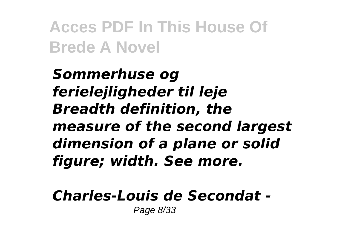*Sommerhuse og ferielejligheder til leje Breadth definition, the measure of the second largest dimension of a plane or solid figure; width. See more.*

# *Charles-Louis de Secondat -*

Page 8/33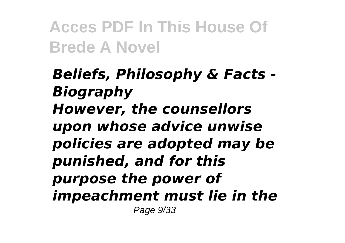*Beliefs, Philosophy & Facts - Biography However, the counsellors upon whose advice unwise policies are adopted may be punished, and for this purpose the power of impeachment must lie in the* Page 9/33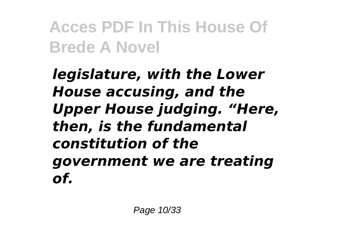*legislature, with the Lower House accusing, and the Upper House judging. "Here, then, is the fundamental constitution of the government we are treating of.*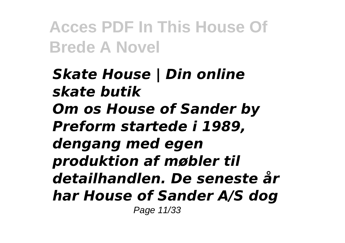*Skate House | Din online skate butik Om os House of Sander by Preform startede i 1989, dengang med egen produktion af møbler til detailhandlen. De seneste år har House of Sander A/S dog* Page 11/33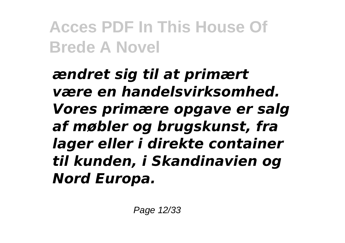*ændret sig til at primært være en handelsvirksomhed. Vores primære opgave er salg af møbler og brugskunst, fra lager eller i direkte container til kunden, i Skandinavien og Nord Europa.*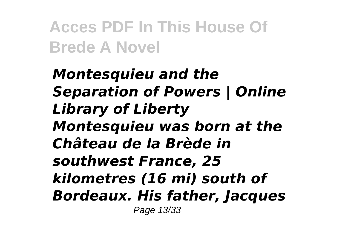*Montesquieu and the Separation of Powers | Online Library of Liberty Montesquieu was born at the Château de la Brède in southwest France, 25 kilometres (16 mi) south of Bordeaux. His father, Jacques* Page 13/33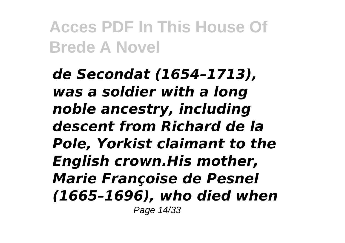*de Secondat (1654–1713), was a soldier with a long noble ancestry, including descent from Richard de la Pole, Yorkist claimant to the English crown.His mother, Marie Françoise de Pesnel (1665–1696), who died when* Page 14/33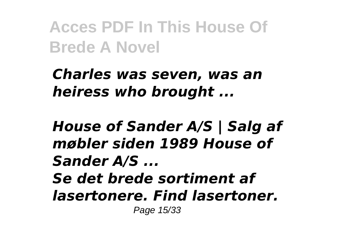*Charles was seven, was an heiress who brought ...*

*House of Sander A/S | Salg af møbler siden 1989 House of Sander A/S ... Se det brede sortiment af lasertonere. Find lasertoner.* Page 15/33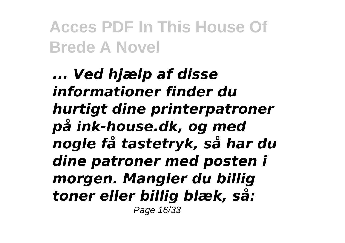*... Ved hjælp af disse informationer finder du hurtigt dine printerpatroner på ink-house.dk, og med nogle få tastetryk, så har du dine patroner med posten i morgen. Mangler du billig toner eller billig blæk, så:* Page 16/33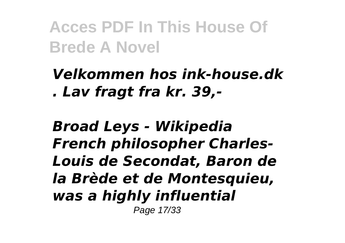*Velkommen hos ink-house.dk . Lav fragt fra kr. 39,-*

*Broad Leys - Wikipedia French philosopher Charles-Louis de Secondat, Baron de la Brède et de Montesquieu, was a highly influential* Page 17/33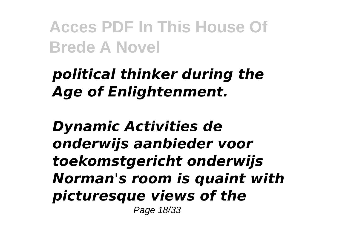# *political thinker during the Age of Enlightenment.*

*Dynamic Activities de onderwijs aanbieder voor toekomstgericht onderwijs Norman's room is quaint with picturesque views of the* Page 18/33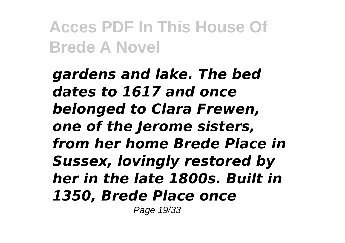*gardens and lake. The bed dates to 1617 and once belonged to Clara Frewen, one of the Jerome sisters, from her home Brede Place in Sussex, lovingly restored by her in the late 1800s. Built in 1350, Brede Place once*

Page 19/33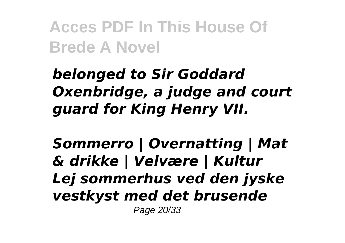*belonged to Sir Goddard Oxenbridge, a judge and court guard for King Henry VII.*

*Sommerro | Overnatting | Mat & drikke | Velvære | Kultur Lej sommerhus ved den jyske vestkyst med det brusende* Page 20/33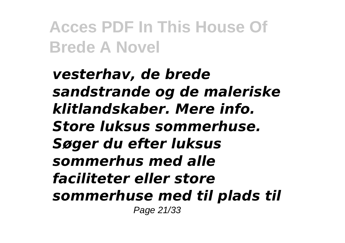*vesterhav, de brede sandstrande og de maleriske klitlandskaber. Mere info. Store luksus sommerhuse. Søger du efter luksus sommerhus med alle faciliteter eller store sommerhuse med til plads til* Page 21/33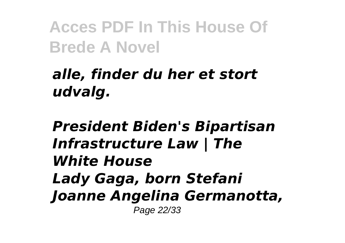# *alle, finder du her et stort udvalg.*

*President Biden's Bipartisan Infrastructure Law | The White House Lady Gaga, born Stefani Joanne Angelina Germanotta,* Page 22/33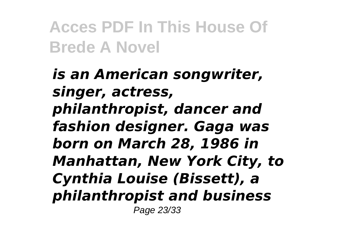*is an American songwriter, singer, actress, philanthropist, dancer and fashion designer. Gaga was born on March 28, 1986 in Manhattan, New York City, to Cynthia Louise (Bissett), a philanthropist and business* Page 23/33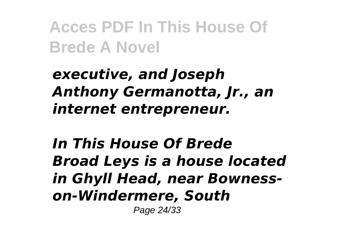# *executive, and Joseph Anthony Germanotta, Jr., an internet entrepreneur.*

*In This House Of Brede Broad Leys is a house located in Ghyll Head, near Bownesson-Windermere, South*

Page 24/33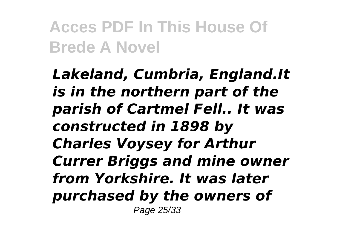*Lakeland, Cumbria, England.It is in the northern part of the parish of Cartmel Fell.. It was constructed in 1898 by Charles Voysey for Arthur Currer Briggs and mine owner from Yorkshire. It was later purchased by the owners of* Page 25/33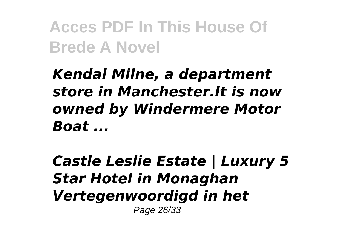*Kendal Milne, a department store in Manchester.It is now owned by Windermere Motor Boat ...*

*Castle Leslie Estate | Luxury 5 Star Hotel in Monaghan Vertegenwoordigd in het* Page 26/33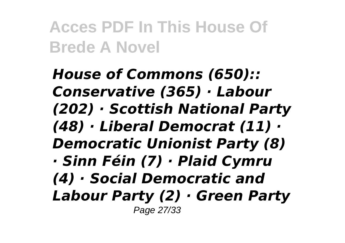*House of Commons (650):: Conservative (365) · Labour (202) · Scottish National Party (48) · Liberal Democrat (11) · Democratic Unionist Party (8) · Sinn Féin (7) · Plaid Cymru (4) · Social Democratic and Labour Party (2) · Green Party* Page 27/33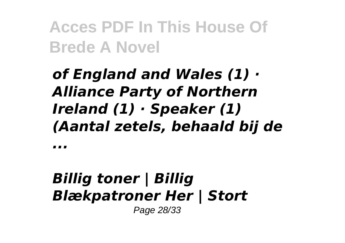# *of England and Wales (1) · Alliance Party of Northern Ireland (1) · Speaker (1) (Aantal zetels, behaald bij de*

*...*

#### *Billig toner | Billig Blækpatroner Her | Stort* Page 28/33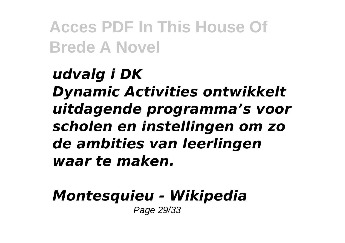*udvalg i DK Dynamic Activities ontwikkelt uitdagende programma's voor scholen en instellingen om zo de ambities van leerlingen waar te maken.*

#### *Montesquieu - Wikipedia* Page 29/33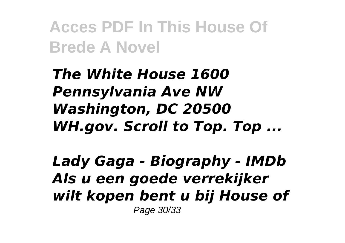*The White House 1600 Pennsylvania Ave NW Washington, DC 20500 WH.gov. Scroll to Top. Top ...*

*Lady Gaga - Biography - IMDb Als u een goede verrekijker wilt kopen bent u bij House of* Page 30/33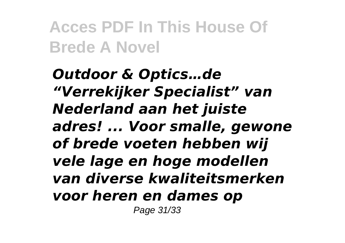*Outdoor & Optics…de "Verrekijker Specialist" van Nederland aan het juiste adres! ... Voor smalle, gewone of brede voeten hebben wij vele lage en hoge modellen van diverse kwaliteitsmerken voor heren en dames op* Page 31/33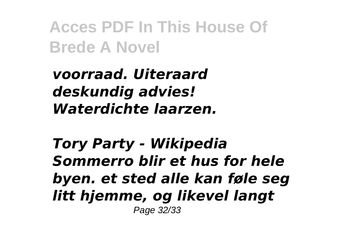*voorraad. Uiteraard deskundig advies! Waterdichte laarzen.*

*Tory Party - Wikipedia Sommerro blir et hus for hele byen. et sted alle kan føle seg litt hjemme, og likevel langt* Page 32/33